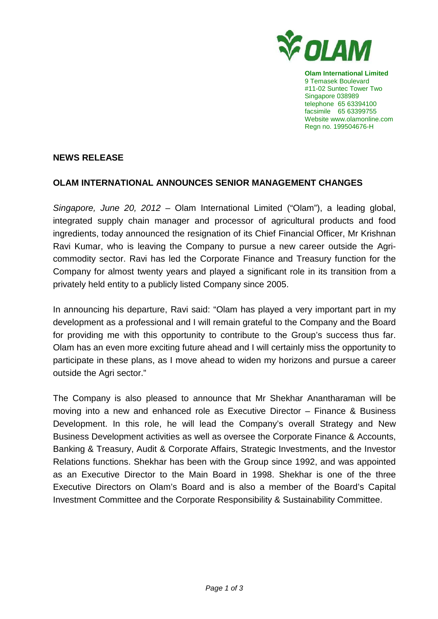

**Olam International Limited**  9 Temasek Boulevard #11-02 Suntec Tower Two Singapore 038989 telephone 65 63394100 facsimile 65 63399755 Website www.olamonline.com Regn no. 199504676-H

## **NEWS RELEASE**

## **OLAM INTERNATIONAL ANNOUNCES SENIOR MANAGEMENT CHANGES**

Singapore, June 20, 2012 – Olam International Limited ("Olam"), a leading global, integrated supply chain manager and processor of agricultural products and food ingredients, today announced the resignation of its Chief Financial Officer, Mr Krishnan Ravi Kumar, who is leaving the Company to pursue a new career outside the Agricommodity sector. Ravi has led the Corporate Finance and Treasury function for the Company for almost twenty years and played a significant role in its transition from a privately held entity to a publicly listed Company since 2005.

In announcing his departure, Ravi said: "Olam has played a very important part in my development as a professional and I will remain grateful to the Company and the Board for providing me with this opportunity to contribute to the Group's success thus far. Olam has an even more exciting future ahead and I will certainly miss the opportunity to participate in these plans, as I move ahead to widen my horizons and pursue a career outside the Agri sector."

The Company is also pleased to announce that Mr Shekhar Anantharaman will be moving into a new and enhanced role as Executive Director – Finance & Business Development. In this role, he will lead the Company's overall Strategy and New Business Development activities as well as oversee the Corporate Finance & Accounts, Banking & Treasury, Audit & Corporate Affairs, Strategic Investments, and the Investor Relations functions. Shekhar has been with the Group since 1992, and was appointed as an Executive Director to the Main Board in 1998. Shekhar is one of the three Executive Directors on Olam's Board and is also a member of the Board's Capital Investment Committee and the Corporate Responsibility & Sustainability Committee.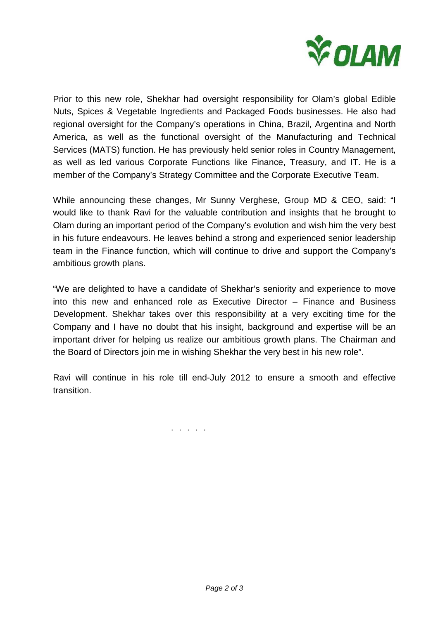

Prior to this new role, Shekhar had oversight responsibility for Olam's global Edible Nuts, Spices & Vegetable Ingredients and Packaged Foods businesses. He also had regional oversight for the Company's operations in China, Brazil, Argentina and North America, as well as the functional oversight of the Manufacturing and Technical Services (MATS) function. He has previously held senior roles in Country Management, as well as led various Corporate Functions like Finance, Treasury, and IT. He is a member of the Company's Strategy Committee and the Corporate Executive Team.

While announcing these changes, Mr Sunny Verghese, Group MD & CEO, said: "I would like to thank Ravi for the valuable contribution and insights that he brought to Olam during an important period of the Company's evolution and wish him the very best in his future endeavours. He leaves behind a strong and experienced senior leadership team in the Finance function, which will continue to drive and support the Company's ambitious growth plans.

"We are delighted to have a candidate of Shekhar's seniority and experience to move into this new and enhanced role as Executive Director – Finance and Business Development. Shekhar takes over this responsibility at a very exciting time for the Company and I have no doubt that his insight, background and expertise will be an important driver for helping us realize our ambitious growth plans. The Chairman and the Board of Directors join me in wishing Shekhar the very best in his new role".

Ravi will continue in his role till end-July 2012 to ensure a smooth and effective transition.

. . . . .